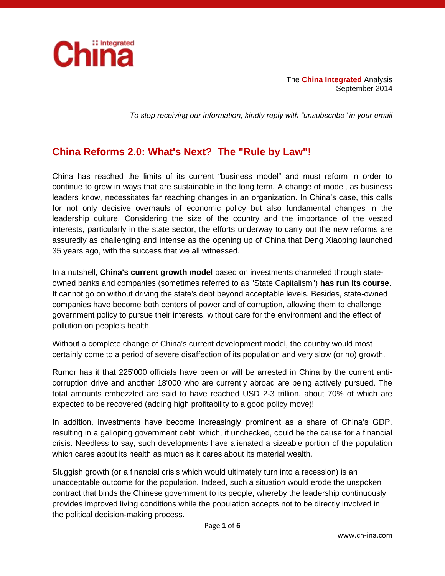

The **China Integrated** Analysis September 2014

*To stop receiving our information, kindly reply with "unsubscribe" in your email*

# **China Reforms 2.0: What's Next? The "Rule by Law"!**

China has reached the limits of its current "business model" and must reform in order to continue to grow in ways that are sustainable in the long term. A change of model, as business leaders know, necessitates far reaching changes in an organization. In China's case, this calls for not only decisive overhauls of economic policy but also fundamental changes in the leadership culture. Considering the size of the country and the importance of the vested interests, particularly in the state sector, the efforts underway to carry out the new reforms are assuredly as challenging and intense as the opening up of China that Deng Xiaoping launched 35 years ago, with the success that we all witnessed.

In a nutshell, **China's current growth model** based on investments channeled through stateowned banks and companies (sometimes referred to as "State Capitalism") **has run its course**. It cannot go on without driving the state's debt beyond acceptable levels. Besides, state-owned companies have become both centers of power and of corruption, allowing them to challenge government policy to pursue their interests, without care for the environment and the effect of pollution on people's health.

Without a complete change of China's current development model, the country would most certainly come to a period of severe disaffection of its population and very slow (or no) growth.

Rumor has it that 225'000 officials have been or will be arrested in China by the current anticorruption drive and another 18'000 who are currently abroad are being actively pursued. The total amounts embezzled are said to have reached USD 2-3 trillion, about 70% of which are expected to be recovered (adding high profitability to a good policy move)!

In addition, investments have become increasingly prominent as a share of China's GDP, resulting in a galloping government debt, which, if unchecked, could be the cause for a financial crisis. Needless to say, such developments have alienated a sizeable portion of the population which cares about its health as much as it cares about its material wealth.

Sluggish growth (or a financial crisis which would ultimately turn into a recession) is an unacceptable outcome for the population. Indeed, such a situation would erode the unspoken contract that binds the Chinese government to its people, whereby the leadership continuously provides improved living conditions while the population accepts not to be directly involved in the political decision-making process.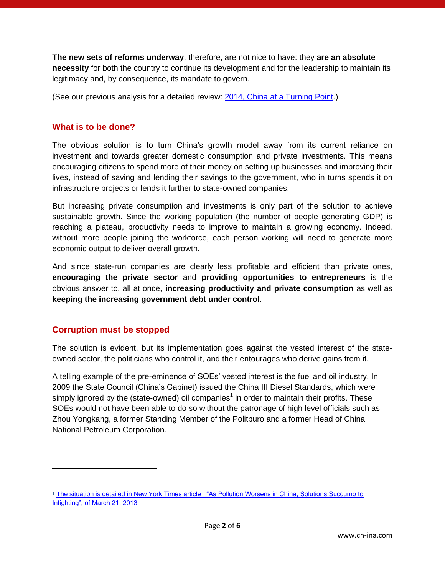**The new sets of reforms underway**, therefore, are not nice to have: they **are an absolute necessity** for both the country to continue its development and for the leadership to maintain its legitimacy and, by consequence, its mandate to govern.

(See our previous analysis for a detailed review: [2014, China at a Turning Point.](http://www.ch-ina.com/publications/analysis/2014-china-at-a-turning-point/))

#### **What is to be done?**

The obvious solution is to turn China's growth model away from its current reliance on investment and towards greater domestic consumption and private investments. This means encouraging citizens to spend more of their money on setting up businesses and improving their lives, instead of saving and lending their savings to the government, who in turns spends it on infrastructure projects or lends it further to state-owned companies.

But increasing private consumption and investments is only part of the solution to achieve sustainable growth. Since the working population (the number of people generating GDP) is reaching a plateau, productivity needs to improve to maintain a growing economy. Indeed, without more people joining the workforce, each person working will need to generate more economic output to deliver overall growth.

And since state-run companies are clearly less profitable and efficient than private ones, **encouraging the private sector** and **providing opportunities to entrepreneurs** is the obvious answer to, all at once, **increasing productivity and private consumption** as well as **keeping the increasing government debt under control**.

## **Corruption must be stopped**

 $\overline{\phantom{a}}$ 

The solution is evident, but its implementation goes against the vested interest of the stateowned sector, the politicians who control it, and their entourages who derive gains from it.

A telling example of the pre-eminence of SOEs' vested interest is the fuel and oil industry. In 2009 the State Council (China's Cabinet) issued the China III Diesel Standards, which were simply ignored by the (state-owned) oil companies<sup>1</sup> in order to maintain their profits. These SOEs would not have been able to do so without the patronage of high level officials such as Zhou Yongkang, a former Standing Member of the Politburo and a former Head of China National Petroleum Corporation.

**<sup>1</sup>** [The situation is detailed in New York Times article "As Pollution Worsens in China, Solutions Succumb to](http://www.nytimes.com/2013/03/22/world/asia/as-chinas-environmental-woes-worsen-infighting-emerges-as-biggest-obstacle.html?pagewanted=all&module=Search&mabReward=relbias%3Aw%2C%7B%222%22%3A%22RI%3A15%22%7D)  [Infighting", of March 21, 2013](http://www.nytimes.com/2013/03/22/world/asia/as-chinas-environmental-woes-worsen-infighting-emerges-as-biggest-obstacle.html?pagewanted=all&module=Search&mabReward=relbias%3Aw%2C%7B%222%22%3A%22RI%3A15%22%7D)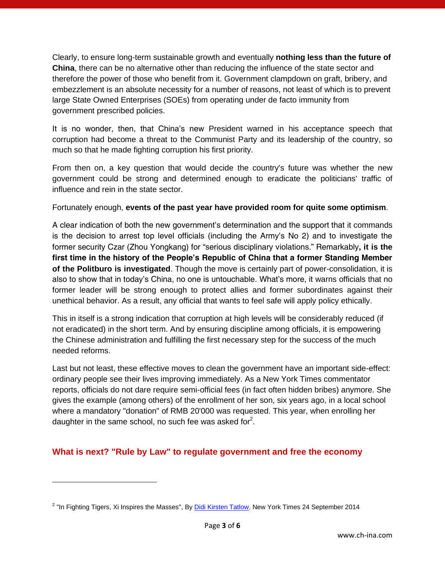Clearly, to ensure long-term sustainable growth and eventually **nothing less than the future of China**, there can be no alternative other than reducing the influence of the state sector and therefore the power of those who benefit from it. Government clampdown on graft, bribery, and embezzlement is an absolute necessity for a number of reasons, not least of which is to prevent large State Owned Enterprises (SOEs) from operating under de facto immunity from government prescribed policies.

It is no wonder, then, that China's new President warned in his acceptance speech that corruption had become a threat to the Communist Party and its leadership of the country, so much so that he made fighting corruption his first priority.

From then on, a key question that would decide the country's future was whether the new government could be strong and determined enough to eradicate the politicians' traffic of influence and rein in the state sector.

Fortunately enough, **events of the past year have provided room for quite some optimism**.

A clear indication of both the new government's determination and the support that it commands is the decision to arrest top level officials (including the Army's No 2) and to investigate the former security Czar (Zhou Yongkang) for "serious disciplinary violations." Remarkably**, it is the first time in the history of the People's Republic of China that a former Standing Member of the Politburo is investigated**. Though the move is certainly part of power-consolidation, it is also to show that in today's China, no one is untouchable. What's more, it warns officials that no former leader will be strong enough to protect allies and former subordinates against their unethical behavior. As a result, any official that wants to feel safe will apply policy ethically.

This in itself is a strong indication that corruption at high levels will be considerably reduced (if not eradicated) in the short term. And by ensuring discipline among officials, it is empowering the Chinese administration and fulfilling the first necessary step for the success of the much needed reforms.

Last but not least, these effective moves to clean the government have an important side-effect: ordinary people see their lives improving immediately. As a New York Times commentator reports, officials do not dare require semi-official fees (in fact often hidden bribes) anymore. She gives the example (among others) of the enrollment of her son, six years ago, in a local school where a mandatory "donation" of RMB 20'000 was requested. This year, when enrolling her daughter in the same school, no such fee was asked for $2$ .

# **What is next? "Rule by Law" to regulate government and free the economy**

 $\overline{a}$ 

<sup>&</sup>lt;sup>2</sup> "In Fighting Tigers, Xi Inspires the Masses", By <u>Didi Kirsten Tatlow</u>, New York Times 24 September 2014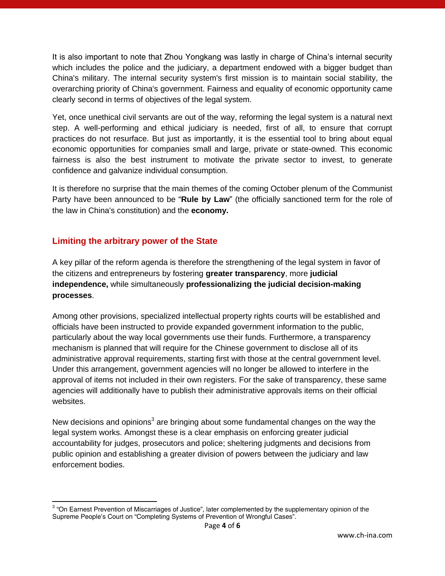It is also important to note that Zhou Yongkang was lastly in charge of China's internal security which includes the police and the judiciary, a department endowed with a bigger budget than China's military. The internal security system's first mission is to maintain social stability, the overarching priority of China's government. Fairness and equality of economic opportunity came clearly second in terms of objectives of the legal system.

Yet, once unethical civil servants are out of the way, reforming the legal system is a natural next step. A well-performing and ethical judiciary is needed, first of all, to ensure that corrupt practices do not resurface. But just as importantly, it is the essential tool to bring about equal economic opportunities for companies small and large, private or state-owned. This economic fairness is also the best instrument to motivate the private sector to invest, to generate confidence and galvanize individual consumption.

It is therefore no surprise that the main themes of the coming October plenum of the Communist Party have been announced to be "**Rule by Law**" (the officially sanctioned term for the role of the law in China's constitution) and the **economy.**

## **Limiting the arbitrary power of the State**

A key pillar of the reform agenda is therefore the strengthening of the legal system in favor of the citizens and entrepreneurs by fostering **greater transparency**, more **judicial independence,** while simultaneously **professionalizing the judicial decision-making processes**.

Among other provisions, specialized intellectual property rights courts will be established and officials have been instructed to provide expanded government information to the public, particularly about the way local governments use their funds. Furthermore, a transparency mechanism is planned that will require for the Chinese government to disclose all of its administrative approval requirements, starting first with those at the central government level. Under this arrangement, government agencies will no longer be allowed to interfere in the approval of items not included in their own registers. For the sake of transparency, these same agencies will additionally have to publish their administrative approvals items on their official websites.

New decisions and opinions<sup>3</sup> are bringing about some fundamental changes on the way the legal system works. Amongst these is a clear emphasis on enforcing greater judicial accountability for judges, prosecutors and police; sheltering judgments and decisions from public opinion and establishing a greater division of powers between the judiciary and law enforcement bodies.

 3 "On Earnest Prevention of Miscarriages of Justice", later complemented by the supplementary opinion of the Supreme People's Court on "Completing Systems of Prevention of Wrongful Cases".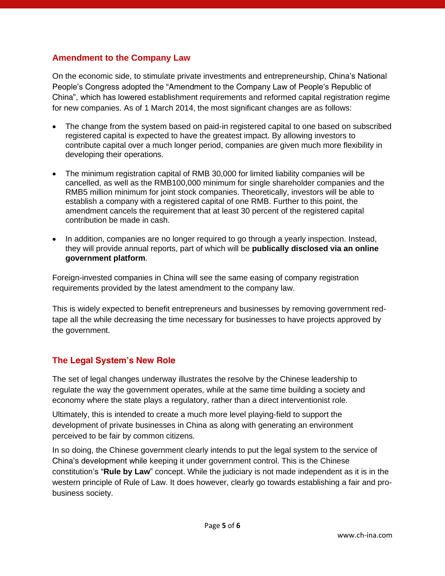#### **Amendment to the Company Law**

On the economic side, to stimulate private investments and entrepreneurship, China's National People's Congress adopted the "Amendment to the Company Law of People's Republic of China", which has lowered establishment requirements and reformed capital registration regime for new companies. As of 1 March 2014, the most significant changes are as follows:

- The change from the system based on paid-in registered capital to one based on subscribed registered capital is expected to have the greatest impact. By allowing investors to contribute capital over a much longer period, companies are given much more flexibility in developing their operations.
- The minimum registration capital of RMB 30,000 for limited liability companies will be cancelled, as well as the RMB100,000 minimum for single shareholder companies and the RMB5 million minimum for joint stock companies. Theoretically, investors will be able to establish a company with a registered capital of one RMB. Further to this point, the amendment cancels the requirement that at least 30 percent of the registered capital contribution be made in cash.
- In addition, companies are no longer required to go through a yearly inspection. Instead, they will provide annual reports, part of which will be **publically disclosed via an online government platform**.

Foreign-invested companies in China will see the same easing of company registration requirements provided by the latest amendment to the company law.

This is widely expected to benefit entrepreneurs and businesses by removing government redtape all the while decreasing the time necessary for businesses to have projects approved by the government.

## **The Legal System's New Role**

The set of legal changes underway illustrates the resolve by the Chinese leadership to regulate the way the government operates, while at the same time building a society and economy where the state plays a regulatory, rather than a direct interventionist role.

Ultimately, this is intended to create a much more level playing-field to support the development of private businesses in China as along with generating an environment perceived to be fair by common citizens.

In so doing, the Chinese government clearly intends to put the legal system to the service of China's development while keeping it under government control. This is the Chinese constitution's "**Rule by Law**" concept. While the judiciary is not made independent as it is in the western principle of Rule of Law. It does however, clearly go towards establishing a fair and probusiness society.